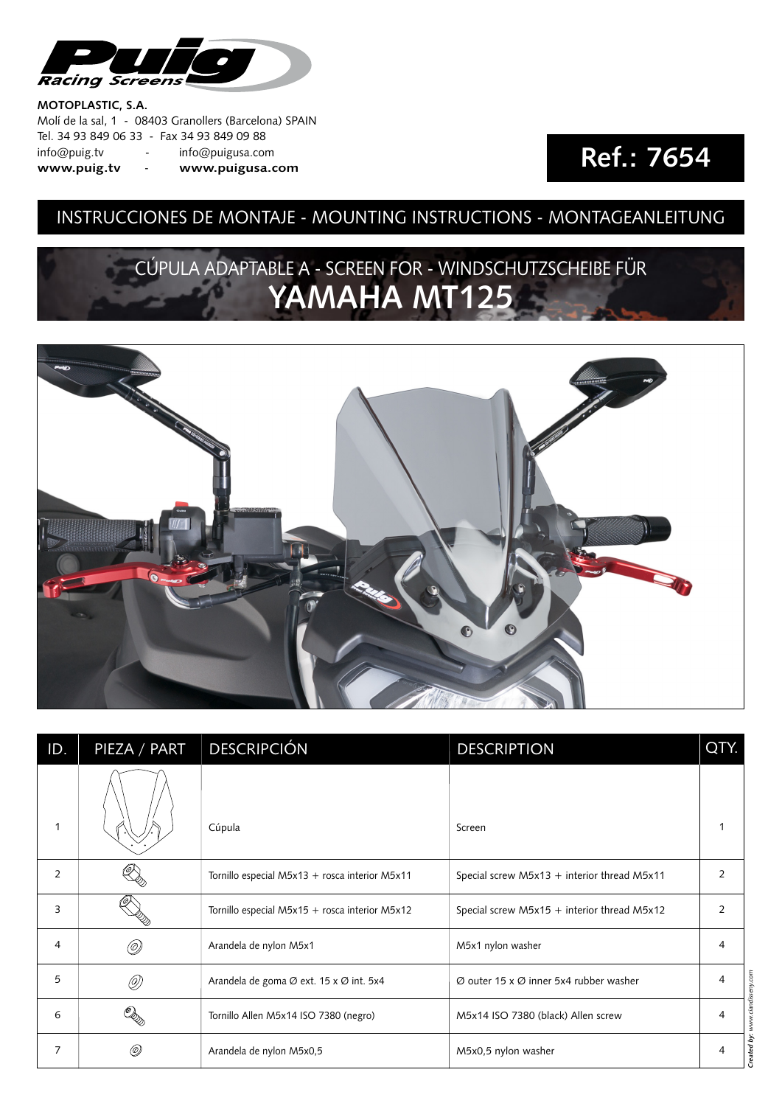

#### **MOTOPLASTIC, S.A.**

Molí de la sal, 1 - 08403 Granollers (Barcelona) SPAIN Tel. 34 93 849 06 33 - Fax 34 93 849 09 88 info@puig.tv - info@puigusa.com **www.puig.tv** - **www.puigusa.com**

# **Ref.: 7654**

**Created by:** www.ciandisseny.com

reated by: www.ciandisseny.com

### INSTRUCCIONES DE MONTAJE - MOUNTING INSTRUCTIONS - MONTAGEANLEITUNG

## CÚPULA ADAPTABLE A - SCREEN FOR - WINDSCHUTZSCHEIBE FÜR **YAMAHA MT125**



| ID.            | PIEZA / PART | <b>DESCRIPCIÓN</b>                             | <b>DESCRIPTION</b>                                         | QTY.           |
|----------------|--------------|------------------------------------------------|------------------------------------------------------------|----------------|
| 1              |              | Cúpula                                         | Screen                                                     |                |
| $\overline{2}$ |              | Tornillo especial M5x13 + rosca interior M5x11 | Special screw M5x13 + interior thread M5x11                | 2              |
| 3              |              | Tornillo especial M5x15 + rosca interior M5x12 | Special screw M5x15 + interior thread M5x12                | $\overline{2}$ |
| 4              | O)           | Arandela de nylon M5x1                         | M5x1 nylon washer                                          | 4              |
| 5              | Ø)           | Arandela de goma Ø ext. 15 x Ø int. 5x4        | $\emptyset$ outer 15 x $\emptyset$ inner 5x4 rubber washer | 4              |
| 6              |              | Tornillo Allen M5x14 ISO 7380 (negro)          | M5x14 ISO 7380 (black) Allen screw                         | 4              |
| $\overline{7}$ | ©)           | Arandela de nylon M5x0,5                       | M5x0,5 nylon washer                                        | 4              |